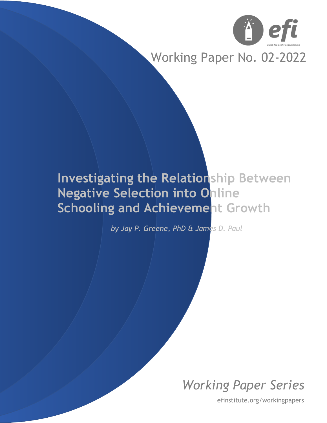

# Working Paper No. 02-2022

# **Investigating the Relationship Between Negative Selection into Online Schooling and Achievement Growth**

*by Jay P. Greene, PhD & James D. Paul*

*Working Paper Series*

efinstitute.org/workingpapers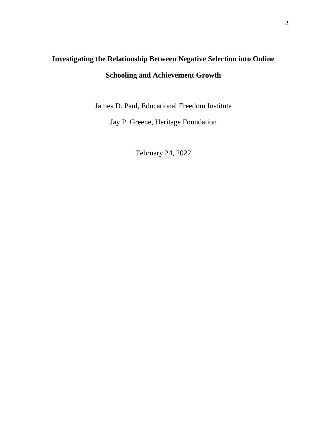## **Investigating the Relationship Between Negative Selection into Online Schooling and Achievement Growth**

James D. Paul, Educational Freedom Institute

Jay P. Greene, Heritage Foundation

February 24, 2022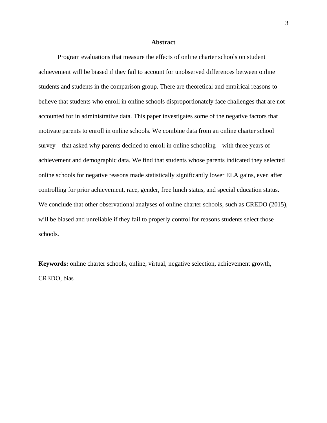#### **Abstract**

Program evaluations that measure the effects of online charter schools on student achievement will be biased if they fail to account for unobserved differences between online students and students in the comparison group. There are theoretical and empirical reasons to believe that students who enroll in online schools disproportionately face challenges that are not accounted for in administrative data. This paper investigates some of the negative factors that motivate parents to enroll in online schools. We combine data from an online charter school survey—that asked why parents decided to enroll in online schooling—with three years of achievement and demographic data. We find that students whose parents indicated they selected online schools for negative reasons made statistically significantly lower ELA gains, even after controlling for prior achievement, race, gender, free lunch status, and special education status. We conclude that other observational analyses of online charter schools, such as CREDO (2015), will be biased and unreliable if they fail to properly control for reasons students select those schools.

**Keywords:** online charter schools, online, virtual, negative selection, achievement growth, CREDO, bias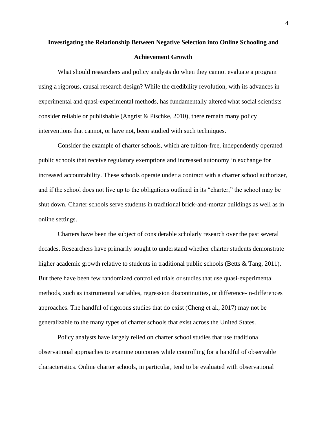### **Investigating the Relationship Between Negative Selection into Online Schooling and Achievement Growth**

What should researchers and policy analysts do when they cannot evaluate a program using a rigorous, causal research design? While the credibility revolution, with its advances in experimental and quasi-experimental methods, has fundamentally altered what social scientists consider reliable or publishable (Angrist & Pischke, 2010), there remain many policy interventions that cannot, or have not, been studied with such techniques.

Consider the example of charter schools, which are tuition-free, independently operated public schools that receive regulatory exemptions and increased autonomy in exchange for increased accountability. These schools operate under a contract with a charter school authorizer, and if the school does not live up to the obligations outlined in its "charter," the school may be shut down. Charter schools serve students in traditional brick-and-mortar buildings as well as in online settings.

Charters have been the subject of considerable scholarly research over the past several decades. Researchers have primarily sought to understand whether charter students demonstrate higher academic growth relative to students in traditional public schools (Betts & Tang, 2011). But there have been few randomized controlled trials or studies that use quasi-experimental methods, such as instrumental variables, regression discontinuities, or difference-in-differences approaches. The handful of rigorous studies that do exist (Cheng et al., 2017) may not be generalizable to the many types of charter schools that exist across the United States.

Policy analysts have largely relied on charter school studies that use traditional observational approaches to examine outcomes while controlling for a handful of observable characteristics. Online charter schools, in particular, tend to be evaluated with observational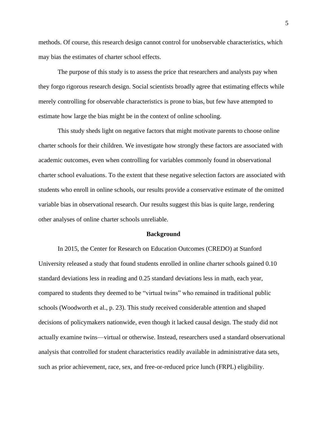methods. Of course, this research design cannot control for unobservable characteristics, which may bias the estimates of charter school effects.

The purpose of this study is to assess the price that researchers and analysts pay when they forgo rigorous research design. Social scientists broadly agree that estimating effects while merely controlling for observable characteristics is prone to bias, but few have attempted to estimate how large the bias might be in the context of online schooling.

This study sheds light on negative factors that might motivate parents to choose online charter schools for their children. We investigate how strongly these factors are associated with academic outcomes, even when controlling for variables commonly found in observational charter school evaluations. To the extent that these negative selection factors are associated with students who enroll in online schools, our results provide a conservative estimate of the omitted variable bias in observational research. Our results suggest this bias is quite large, rendering other analyses of online charter schools unreliable.

#### **Background**

In 2015, the Center for Research on Education Outcomes (CREDO) at Stanford University released a study that found students enrolled in online charter schools gained 0.10 standard deviations less in reading and 0.25 standard deviations less in math, each year, compared to students they deemed to be "virtual twins" who remained in traditional public schools (Woodworth et al., p. 23). This study received considerable attention and shaped decisions of policymakers nationwide, even though it lacked causal design. The study did not actually examine twins—virtual or otherwise. Instead, researchers used a standard observational analysis that controlled for student characteristics readily available in administrative data sets, such as prior achievement, race, sex, and free-or-reduced price lunch (FRPL) eligibility.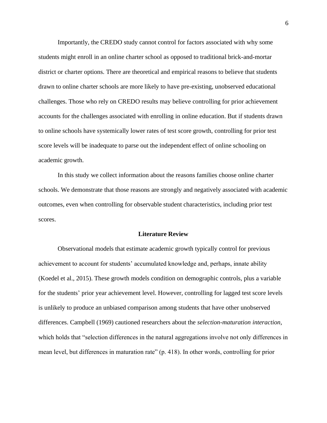Importantly, the CREDO study cannot control for factors associated with why some students might enroll in an online charter school as opposed to traditional brick-and-mortar district or charter options. There are theoretical and empirical reasons to believe that students drawn to online charter schools are more likely to have pre-existing, unobserved educational challenges. Those who rely on CREDO results may believe controlling for prior achievement accounts for the challenges associated with enrolling in online education. But if students drawn to online schools have systemically lower rates of test score growth, controlling for prior test score levels will be inadequate to parse out the independent effect of online schooling on academic growth.

In this study we collect information about the reasons families choose online charter schools. We demonstrate that those reasons are strongly and negatively associated with academic outcomes, even when controlling for observable student characteristics, including prior test scores.

#### **Literature Review**

Observational models that estimate academic growth typically control for previous achievement to account for students' accumulated knowledge and, perhaps, innate ability (Koedel et al., 2015). These growth models condition on demographic controls, plus a variable for the students' prior year achievement level. However, controlling for lagged test score levels is unlikely to produce an unbiased comparison among students that have other unobserved differences. Campbell (1969) cautioned researchers about the *selection-maturation interaction*, which holds that "selection differences in the natural aggregations involve not only differences in mean level, but differences in maturation rate" (p. 418). In other words, controlling for prior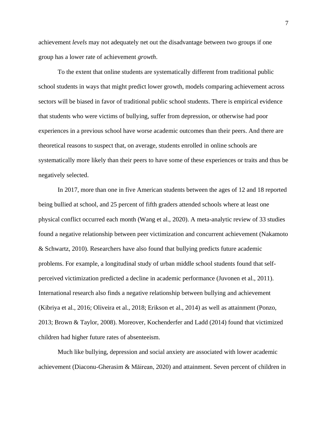achievement *levels* may not adequately net out the disadvantage between two groups if one group has a lower rate of achievement *growth*.

To the extent that online students are systematically different from traditional public school students in ways that might predict lower growth, models comparing achievement across sectors will be biased in favor of traditional public school students. There is empirical evidence that students who were victims of bullying, suffer from depression, or otherwise had poor experiences in a previous school have worse academic outcomes than their peers. And there are theoretical reasons to suspect that, on average, students enrolled in online schools are systematically more likely than their peers to have some of these experiences or traits and thus be negatively selected.

In 2017, more than one in five American students between the ages of 12 and 18 reported being bullied at school, and 25 percent of fifth graders attended schools where at least one physical conflict occurred each month (Wang et al., 2020). A meta-analytic review of 33 studies found a negative relationship between peer victimization and concurrent achievement (Nakamoto & Schwartz, 2010). Researchers have also found that bullying predicts future academic problems. For example, a longitudinal study of urban middle school students found that selfperceived victimization predicted a decline in academic performance (Juvonen et al., 2011). International research also finds a negative relationship between bullying and achievement (Kibriya et al., 2016; Oliveira et al., 2018; Erikson et al., 2014) as well as attainment (Ponzo, 2013; Brown & Taylor, 2008). Moreover, Kochenderfer and Ladd (2014) found that victimized children had higher future rates of absenteeism.

Much like bullying, depression and social anxiety are associated with lower academic achievement (Diaconu-Gherasim & Măirean, 2020) and attainment. Seven percent of children in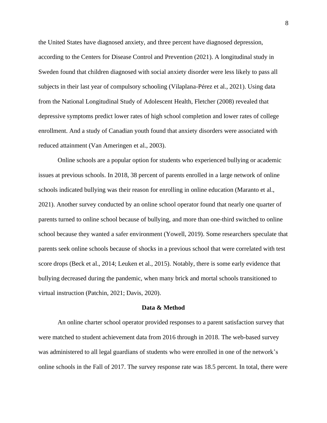the United States have diagnosed anxiety, and three percent have diagnosed depression, according to the Centers for Disease Control and Prevention (2021). A longitudinal study in Sweden found that children diagnosed with social anxiety disorder were less likely to pass all subjects in their last year of compulsory schooling (Vilaplana-Pérez et al., 2021). Using data from the National Longitudinal Study of Adolescent Health, Fletcher (2008) revealed that depressive symptoms predict lower rates of high school completion and lower rates of college enrollment. And a study of Canadian youth found that anxiety disorders were associated with reduced attainment (Van Ameringen et al., 2003).

Online schools are a popular option for students who experienced bullying or academic issues at previous schools. In 2018, 38 percent of parents enrolled in a large network of online schools indicated bullying was their reason for enrolling in online education (Maranto et al., 2021). Another survey conducted by an online school operator found that nearly one quarter of parents turned to online school because of bullying, and more than one-third switched to online school because they wanted a safer environment (Yowell, 2019). Some researchers speculate that parents seek online schools because of shocks in a previous school that were correlated with test score drops (Beck et al., 2014; Leuken et al., 2015). Notably, there is some early evidence that bullying decreased during the pandemic, when many brick and mortal schools transitioned to virtual instruction (Patchin, 2021; Davis, 2020).

#### **Data & Method**

An online charter school operator provided responses to a parent satisfaction survey that were matched to student achievement data from 2016 through in 2018. The web-based survey was administered to all legal guardians of students who were enrolled in one of the network's online schools in the Fall of 2017. The survey response rate was 18.5 percent. In total, there were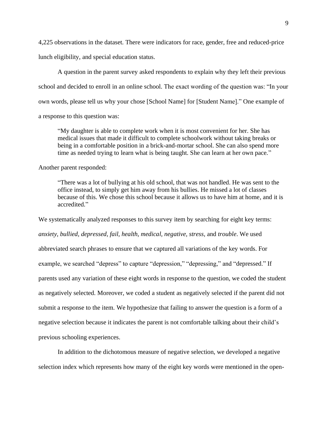4,225 observations in the dataset. There were indicators for race, gender, free and reduced-price lunch eligibility, and special education status.

A question in the parent survey asked respondents to explain why they left their previous school and decided to enroll in an online school. The exact wording of the question was: "In your own words, please tell us why your chose [School Name] for [Student Name]." One example of a response to this question was:

"My daughter is able to complete work when it is most convenient for her. She has medical issues that made it difficult to complete schoolwork without taking breaks or being in a comfortable position in a brick-and-mortar school. She can also spend more time as needed trying to learn what is being taught. She can learn at her own pace."

Another parent responded:

"There was a lot of bullying at his old school, that was not handled. He was sent to the office instead, to simply get him away from his bullies. He missed a lot of classes because of this. We chose this school because it allows us to have him at home, and it is accredited."

We systematically analyzed responses to this survey item by searching for eight key terms: *anxiety, bullied, depressed, fail, health, medical, negative, stress,* and *trouble*. We used abbreviated search phrases to ensure that we captured all variations of the key words. For example, we searched "depress" to capture "depression," "depressing," and "depressed." If parents used any variation of these eight words in response to the question, we coded the student as negatively selected. Moreover, we coded a student as negatively selected if the parent did not submit a response to the item. We hypothesize that failing to answer the question is a form of a negative selection because it indicates the parent is not comfortable talking about their child's previous schooling experiences.

In addition to the dichotomous measure of negative selection, we developed a negative selection index which represents how many of the eight key words were mentioned in the open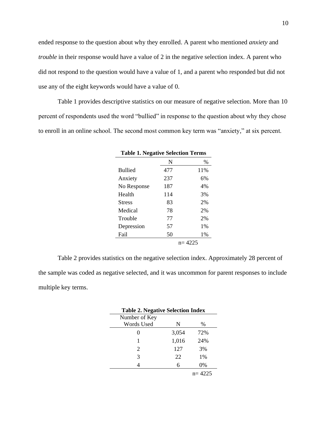ended response to the question about why they enrolled. A parent who mentioned *anxiety* and *trouble* in their response would have a value of 2 in the negative selection index. A parent who did not respond to the question would have a value of 1, and a parent who responded but did not use any of the eight keywords would have a value of 0.

Table 1 provides descriptive statistics on our measure of negative selection. More than 10 percent of respondents used the word "bullied" in response to the question about why they chose to enroll in an online school. The second most common key term was "anxiety," at six percent.

| <b>Table 1. Negative Selection Terms</b> |     |         |  |  |
|------------------------------------------|-----|---------|--|--|
|                                          | N   | $\%$    |  |  |
| <b>Bullied</b>                           | 477 | 11\%    |  |  |
| Anxiety                                  | 237 | 6%      |  |  |
| No Response                              | 187 | 4%      |  |  |
| Health                                   | 114 | 3%      |  |  |
| <b>Stress</b>                            | 83  | 2%      |  |  |
| Medical                                  | 78  | 2%      |  |  |
| Trouble                                  | 77  | 2%      |  |  |
| Depression                               | 57  | $1\%$   |  |  |
| Fail                                     | 50  | $1\%$   |  |  |
|                                          |     | n= 4225 |  |  |

Table 2 provides statistics on the negative selection index. Approximately 28 percent of the sample was coded as negative selected, and it was uncommon for parent responses to include multiple key terms.

| <b>Table 2. Negative Selection Index</b> |       |            |  |  |
|------------------------------------------|-------|------------|--|--|
| Number of Key                            |       |            |  |  |
| Words Used                               | N     | $\%$       |  |  |
| 0                                        | 3,054 | 72%        |  |  |
| 1                                        | 1,016 | 24%        |  |  |
| 2                                        | 127   | 3%         |  |  |
| 3                                        | 22    | $1\%$      |  |  |
|                                          | 6     | 0%         |  |  |
|                                          |       | $n = 4225$ |  |  |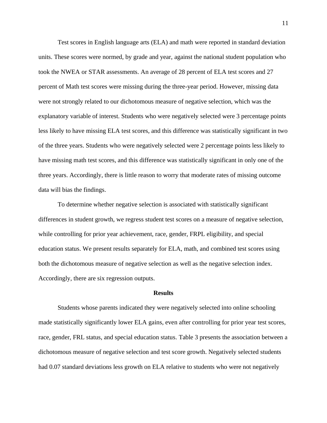Test scores in English language arts (ELA) and math were reported in standard deviation units. These scores were normed, by grade and year, against the national student population who took the NWEA or STAR assessments. An average of 28 percent of ELA test scores and 27 percent of Math test scores were missing during the three-year period. However, missing data were not strongly related to our dichotomous measure of negative selection, which was the explanatory variable of interest. Students who were negatively selected were 3 percentage points less likely to have missing ELA test scores, and this difference was statistically significant in two of the three years. Students who were negatively selected were 2 percentage points less likely to have missing math test scores, and this difference was statistically significant in only one of the three years. Accordingly, there is little reason to worry that moderate rates of missing outcome data will bias the findings.

To determine whether negative selection is associated with statistically significant differences in student growth, we regress student test scores on a measure of negative selection, while controlling for prior year achievement, race, gender, FRPL eligibility, and special education status. We present results separately for ELA, math, and combined test scores using both the dichotomous measure of negative selection as well as the negative selection index. Accordingly, there are six regression outputs.

#### **Results**

Students whose parents indicated they were negatively selected into online schooling made statistically significantly lower ELA gains, even after controlling for prior year test scores, race, gender, FRL status, and special education status. Table 3 presents the association between a dichotomous measure of negative selection and test score growth. Negatively selected students had 0.07 standard deviations less growth on ELA relative to students who were not negatively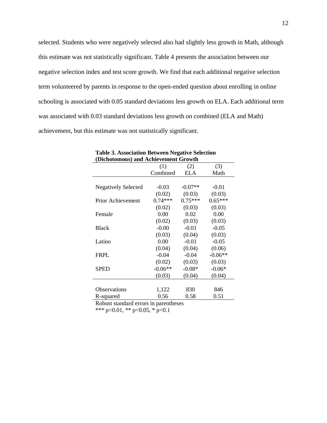selected. Students who were negatively selected also had slightly less growth in Math, although this estimate was not statistically significant. Table 4 presents the association between our negative selection index and test score growth. We find that each additional negative selection term volunteered by parents in response to the open-ended question about enrolling in online schooling is associated with 0.05 standard deviations less growth on ELA. Each additional term was associated with 0.03 standard deviations less growth on combined (ELA and Math) achievement, but this estimate was not statistically significant.

| (Dichotomous) and Achievement Growth |           |            |           |  |  |  |
|--------------------------------------|-----------|------------|-----------|--|--|--|
|                                      | (1)       | (2)        | (3)       |  |  |  |
|                                      | Combined  | <b>ELA</b> | Math      |  |  |  |
|                                      |           |            |           |  |  |  |
| <b>Negatively Selected</b>           | $-0.03$   | $-0.07**$  | $-0.01$   |  |  |  |
|                                      | (0.02)    | (0.03)     | (0.03)    |  |  |  |
| Prior Achievement                    | $0.74***$ | $0.75***$  | $0.65***$ |  |  |  |
|                                      | (0.02)    | (0.03)     | (0.03)    |  |  |  |
| Female                               | 0.00      | 0.02       | 0.00      |  |  |  |
|                                      | (0.02)    | (0.03)     | (0.03)    |  |  |  |
| <b>Black</b>                         | $-0.00$   | $-0.01$    | $-0.05$   |  |  |  |
|                                      | (0.03)    | (0.04)     | (0.03)    |  |  |  |
| Latino                               | 0.00      | $-0.01$    | $-0.05$   |  |  |  |
|                                      | (0.04)    | (0.04)     | (0.06)    |  |  |  |
| <b>FRPL</b>                          | $-0.04$   | $-0.04$    | $-0.06**$ |  |  |  |
|                                      | (0.02)    | (0.03)     | (0.03)    |  |  |  |
| <b>SPED</b>                          | $-0.06**$ | $-0.08*$   | $-0.06*$  |  |  |  |
|                                      | (0.03)    | (0.04)     | (0.04)    |  |  |  |
|                                      |           |            |           |  |  |  |
| <b>Observations</b>                  | 1,122     | 830        | 846       |  |  |  |
| R-squared                            | 0.56      | 0.58       | 0.51      |  |  |  |

### **Table 3. Association Between Negative Selection**

Robust standard errors in parentheses

\*\*\* p<0.01, \*\* p<0.05, \* p<0.1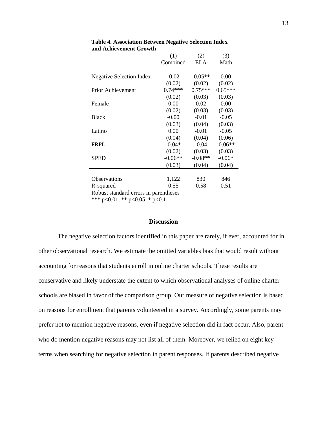| (1)       | (2)        | (3)       |
|-----------|------------|-----------|
| Combined  | <b>ELA</b> | Math      |
|           |            |           |
| $-0.02$   | $-0.05**$  | 0.00      |
| (0.02)    | (0.02)     | (0.02)    |
| $0.74***$ | $0.75***$  | $0.65***$ |
| (0.02)    | (0.03)     | (0.03)    |
| 0.00      | 0.02       | 0.00      |
| (0.02)    | (0.03)     | (0.03)    |
| $-0.00$   | $-0.01$    | $-0.05$   |
| (0.03)    | (0.04)     | (0.03)    |
| 0.00      | $-0.01$    | $-0.05$   |
| (0.04)    | (0.04)     | (0.06)    |
| $-0.04*$  | $-0.04$    | $-0.06**$ |
| (0.02)    | (0.03)     | (0.03)    |
| $-0.06**$ | $-0.08**$  | $-0.06*$  |
| (0.03)    | (0.04)     | (0.04)    |
|           |            |           |
| 1,122     | 830        | 846       |
| 0.55      | 0.58       | 0.51      |
|           |            |           |

**Table 4. Association Between Negative Selection Index and Achievement Growth**

Robust standard errors in parentheses \*\*\* p<0.01, \*\* p<0.05, \* p<0.1

### **Discussion**

The negative selection factors identified in this paper are rarely, if ever, accounted for in other observational research. We estimate the omitted variables bias that would result without accounting for reasons that students enroll in online charter schools. These results are conservative and likely understate the extent to which observational analyses of online charter schools are biased in favor of the comparison group. Our measure of negative selection is based on reasons for enrollment that parents volunteered in a survey. Accordingly, some parents may prefer not to mention negative reasons, even if negative selection did in fact occur. Also, parent who do mention negative reasons may not list all of them. Moreover, we relied on eight key terms when searching for negative selection in parent responses. If parents described negative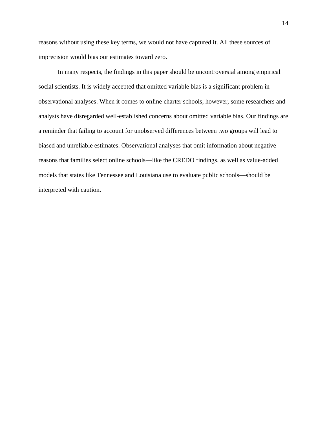reasons without using these key terms, we would not have captured it. All these sources of imprecision would bias our estimates toward zero.

In many respects, the findings in this paper should be uncontroversial among empirical social scientists. It is widely accepted that omitted variable bias is a significant problem in observational analyses. When it comes to online charter schools, however, some researchers and analysts have disregarded well-established concerns about omitted variable bias. Our findings are a reminder that failing to account for unobserved differences between two groups will lead to biased and unreliable estimates. Observational analyses that omit information about negative reasons that families select online schools—like the CREDO findings, as well as value-added models that states like Tennessee and Louisiana use to evaluate public schools—should be interpreted with caution.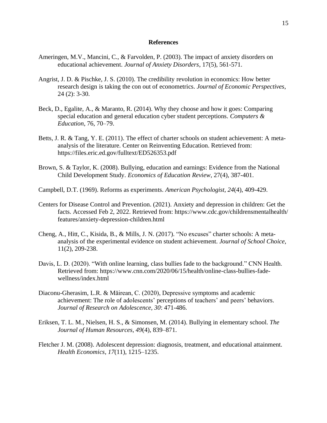### **References**

- Ameringen, M.V., Mancini, C., & Farvolden, P. (2003). The impact of anxiety disorders on educational achievement. *Journal of Anxiety Disorders*, 17(5), 561-571.
- Angrist, J. D. & Pischke, J. S. (2010). The credibility revolution in economics: How better research design is taking the con out of econometrics. *Journal of Economic Perspectives*, 24 (2): 3-30.
- Beck, D., Egalite, A., & Maranto, R. (2014). Why they choose and how it goes: Comparing special education and general education cyber student perceptions. *Computers & Education*, 76, 70–79.
- Betts, J. R. & Tang, Y. E. (2011). The effect of charter schools on student achievement: A metaanalysis of the literature. Center on Reinventing Education. Retrieved from: https://files.eric.ed.gov/fulltext/ED526353.pdf
- Brown, S. & Taylor, K. (2008). Bullying, education and earnings: Evidence from the National Child Development Study. *Economics of Education Review*, 27(4), 387-401.
- Campbell, D.T. (1969). Reforms as experiments. *American Psychologist, 24*(4), 409-429.
- Centers for Disease Control and Prevention. (2021). Anxiety and depression in children: Get the facts. Accessed Feb 2, 2022. Retrieved from: https://www.cdc.gov/childrensmentalhealth/ features/anxiety-depression-children.html
- Cheng, A., Hitt, C., Kisida, B., & Mills, J. N. (2017). "No excuses" charter schools: A metaanalysis of the experimental evidence on student achievement. *Journal of School Choice*, 11(2), 209-238.
- Davis, L. D. (2020). "With online learning, class bullies fade to the background." CNN Health. Retrieved from: https://www.cnn.com/2020/06/15/health/online-class-bullies-fadewellness/index.html
- Diaconu-Gherasim, L.R. & Măirean, C. (2020), Depressive symptoms and academic achievement: The role of adolescents' perceptions of teachers' and peers' behaviors. *Journal of Research on Adolescence, 30*: 471-486.
- Eriksen, T. L. M., Nielsen, H. S., & Simonsen, M. (2014). Bullying in elementary school. *The Journal of Human Resources, 49*(4), 839–871.
- Fletcher J. M. (2008). Adolescent depression: diagnosis, treatment, and educational attainment. *Health Economics*, *17*(11), 1215–1235.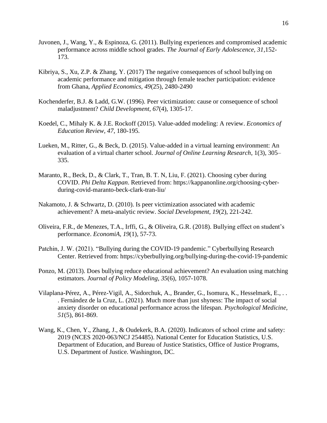- Juvonen, J., Wang, Y., & Espinoza, G. (2011). Bullying experiences and compromised academic performance across middle school grades. *The Journal of Early Adolescence, 31*,152- 173.
- Kibriya, S., Xu, Z.P. & Zhang, Y. (2017) The negative consequences of school bullying on academic performance and mitigation through female teacher participation: evidence from Ghana, *Applied Economics, 49*(25), 2480-2490
- Kochenderfer, B.J. & Ladd, G.W. (1996). Peer victimization: cause or consequence of school maladjustment? *Child Development, 67*(4), 1305-17.
- Koedel, C., Mihaly K. & J.E. Rockoff (2015). Value-added modeling: A review. *Economics of Education Review, 47*, 180-195.
- Lueken, M., Ritter, G., & Beck, D. (2015). Value-added in a virtual learning environment: An evaluation of a virtual charter school. *Journal of Online Learning Research*, 1(3), 305– 335.
- Maranto, R., Beck, D., & Clark, T., Tran, B. T. N, Liu, F. (2021). Choosing cyber during COVID. *Phi Delta Kappan*. Retrieved from: https://kappanonline.org/choosing-cyberduring-covid-maranto-beck-clark-tran-liu/
- Nakamoto, J. & Schwartz, D. (2010). Is peer victimization associated with academic achievement? A meta-analytic review. *Social Development, 19*(2), 221-242.
- Oliveira, F.R., de Menezes, T.A., Irffi, G., & Oliveira, G.R. (2018). Bullying effect on student's performance. *EconomiA, 19*(1), 57-73.
- Patchin, J. W. (2021). "Bullying during the COVID-19 pandemic." Cyberbullying Research Center. Retrieved from: https://cyberbullying.org/bullying-during-the-covid-19-pandemic
- Ponzo, M. (2013). Does bullying reduce educational achievement? An evaluation using matching estimators. *Journal of Policy Modeling*, *35*(6), 1057-1078.
- Vilaplana-Pérez, A., Pérez-Vigil, A., Sidorchuk, A., Brander, G., Isomura, K., Hesselmark, E., . . . Fernández de la Cruz, L. (2021). Much more than just shyness: The impact of social anxiety disorder on educational performance across the lifespan. *Psychological Medicine, 51*(5), 861-869.
- Wang, K., Chen, Y., Zhang, J., & Oudekerk, B.A. (2020). Indicators of school crime and safety: 2019 (NCES 2020-063/NCJ 254485). National Center for Education Statistics, U.S. Department of Education, and Bureau of Justice Statistics, Office of Justice Programs, U.S. Department of Justice. Washington, DC.